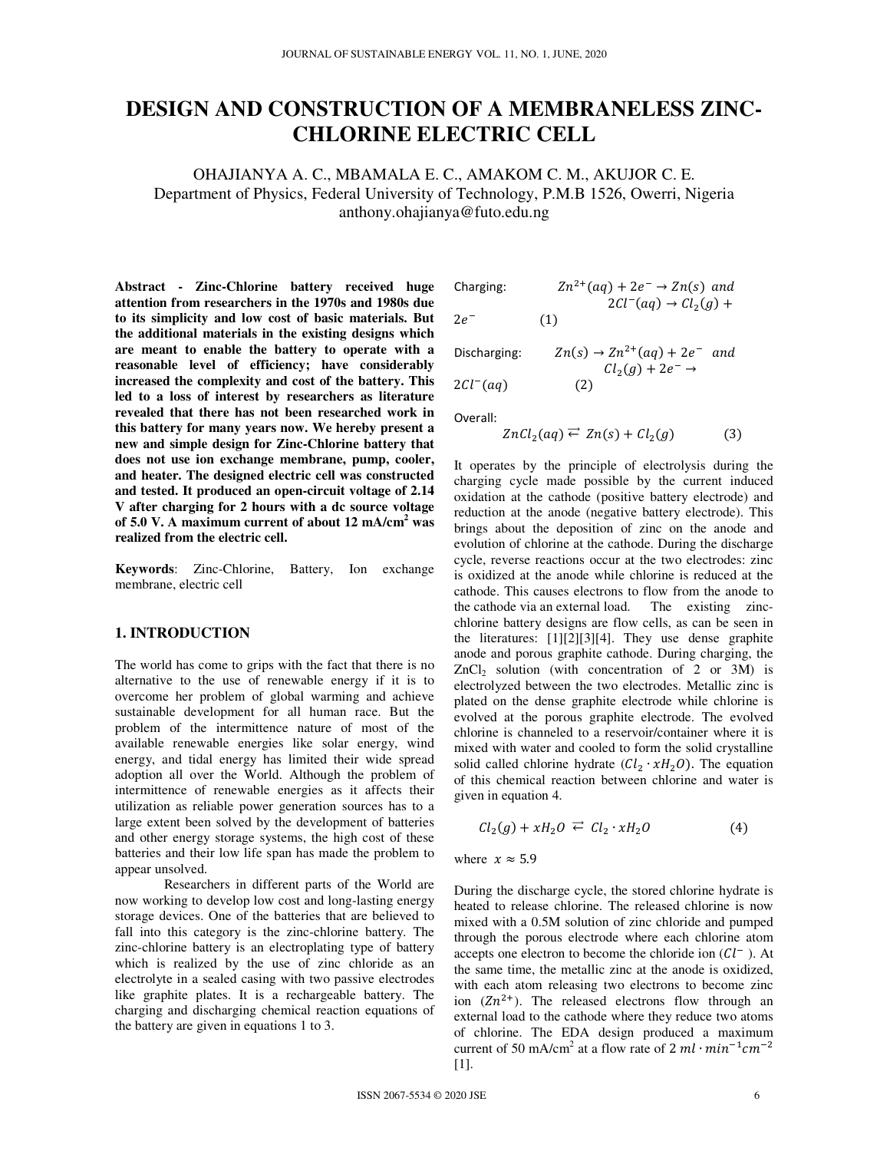# **DESIGN AND CONSTRUCTION OF A MEMBRANELESS ZINC-CHLORINE ELECTRIC CELL**

OHAJIANYA A. C., MBAMALA E. C., AMAKOM C. M., AKUJOR C. E. Department of Physics, Federal University of Technology, P.M.B 1526, Owerri, Nigeria anthony.ohajianya@futo.edu.ng

**Abstract - Zinc-Chlorine battery received huge attention from researchers in the 1970s and 1980s due to its simplicity and low cost of basic materials. But the additional materials in the existing designs which are meant to enable the battery to operate with a reasonable level of efficiency; have considerably increased the complexity and cost of the battery. This led to a loss of interest by researchers as literature revealed that there has not been researched work in this battery for many years now. We hereby present a new and simple design for Zinc-Chlorine battery that does not use ion exchange membrane, pump, cooler, and heater. The designed electric cell was constructed and tested. It produced an open-circuit voltage of 2.14 V after charging for 2 hours with a dc source voltage of 5.0 V. A maximum current of about 12 mA/cm<sup>2</sup> was realized from the electric cell.** 

**Keywords**: Zinc-Chlorine, Battery, Ion exchange membrane, electric cell

# **1. INTRODUCTION**

The world has come to grips with the fact that there is no alternative to the use of renewable energy if it is to overcome her problem of global warming and achieve sustainable development for all human race. But the problem of the intermittence nature of most of the available renewable energies like solar energy, wind energy, and tidal energy has limited their wide spread adoption all over the World. Although the problem of intermittence of renewable energies as it affects their utilization as reliable power generation sources has to a large extent been solved by the development of batteries and other energy storage systems, the high cost of these batteries and their low life span has made the problem to appear unsolved.

 Researchers in different parts of the World are now working to develop low cost and long-lasting energy storage devices. One of the batteries that are believed to fall into this category is the zinc-chlorine battery. The zinc-chlorine battery is an electroplating type of battery which is realized by the use of zinc chloride as an electrolyte in a sealed casing with two passive electrodes like graphite plates. It is a rechargeable battery. The charging and discharging chemical reaction equations of the battery are given in equations 1 to 3.

Changing:

\n
$$
Zn^{2+}(aq) + 2e^- \rightarrow Zn(s) \text{ and } 2Cl^-(aq) \rightarrow Cl_2(g) + 2e^- \rightarrow Cl_2(g)
$$

$$
2e^{-}\qquad \qquad (1)
$$

Discharging:  $n(s) \rightarrow Zn^{2+}(aq) + 2e^-$  and  $Cl_2(g) + 2e^- \rightarrow$  $2Cl^{-}(aq)$  (2)

Overall:

 $ZnCl_2(aq) \rightleftarrows Zn(s) + Cl_2(g)$  (3)

It operates by the principle of electrolysis during the charging cycle made possible by the current induced oxidation at the cathode (positive battery electrode) and reduction at the anode (negative battery electrode). This brings about the deposition of zinc on the anode and evolution of chlorine at the cathode. During the discharge cycle, reverse reactions occur at the two electrodes: zinc is oxidized at the anode while chlorine is reduced at the cathode. This causes electrons to flow from the anode to the cathode via an external load. The existing zincthe cathode via an external load. chlorine battery designs are flow cells, as can be seen in the literatures: [1][2][3][4]. They use dense graphite anode and porous graphite cathode. During charging, the  $ZnCl<sub>2</sub>$  solution (with concentration of 2 or 3M) is electrolyzed between the two electrodes. Metallic zinc is plated on the dense graphite electrode while chlorine is evolved at the porous graphite electrode. The evolved chlorine is channeled to a reservoir/container where it is mixed with water and cooled to form the solid crystalline solid called chlorine hydrate  $(Cl_2 \cdot xH_2O)$ . The equation of this chemical reaction between chlorine and water is given in equation 4.

$$
Cl_2(g) + xH_2O \stackrel{\longrightarrow}{\leftarrow} Cl_2 \cdot xH_2O \tag{4}
$$

where  $x \approx 5.9$ 

During the discharge cycle, the stored chlorine hydrate is heated to release chlorine. The released chlorine is now mixed with a 0.5M solution of zinc chloride and pumped through the porous electrode where each chlorine atom accepts one electron to become the chloride ion  $Cl^{-}$ ). At the same time, the metallic zinc at the anode is oxidized, with each atom releasing two electrons to become zinc ion  $(Zn^{2+})$ . The released electrons flow through an external load to the cathode where they reduce two atoms of chlorine. The EDA design produced a maximum current of 50 mA/cm<sup>2</sup> at a flow rate of 2  $ml \cdot min^{-1}cm^{-2}$ [1].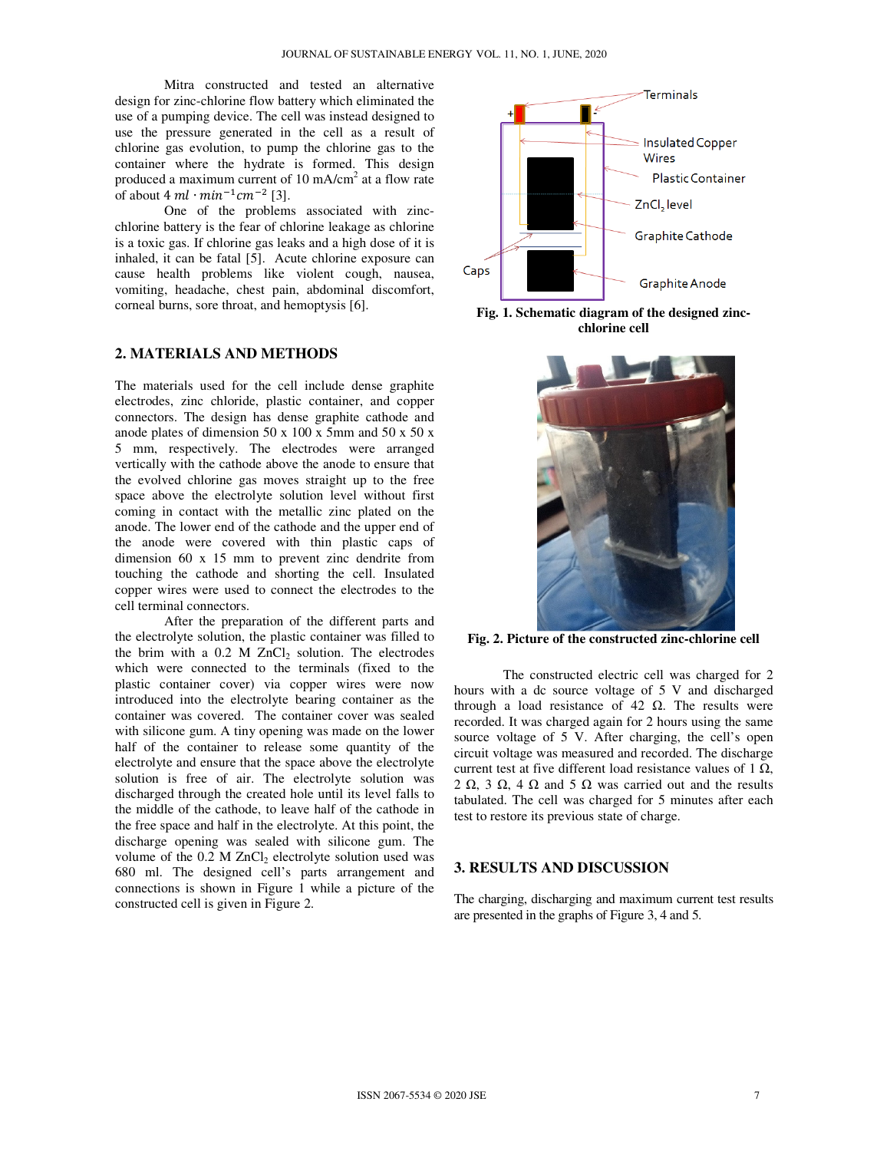Mitra constructed and tested an alternative design for zinc-chlorine flow battery which eliminated the use of a pumping device. The cell was instead designed to use the pressure generated in the cell as a result of chlorine gas evolution, to pump the chlorine gas to the container where the hydrate is formed. This design produced a maximum current of 10 mA/cm<sup>2</sup> at a flow rate of about  $4 \, ml \cdot min^{-1} cm^{-2}$  [3].

 One of the problems associated with zincchlorine battery is the fear of chlorine leakage as chlorine is a toxic gas. If chlorine gas leaks and a high dose of it is inhaled, it can be fatal [5]. Acute chlorine exposure can cause health problems like violent cough, nausea, vomiting, headache, chest pain, abdominal discomfort, corneal burns, sore throat, and hemoptysis [6].

### **2. MATERIALS AND METHODS**

The materials used for the cell include dense graphite electrodes, zinc chloride, plastic container, and copper connectors. The design has dense graphite cathode and anode plates of dimension 50 x 100 x 5mm and 50 x 50 x 5 mm, respectively. The electrodes were arranged vertically with the cathode above the anode to ensure that the evolved chlorine gas moves straight up to the free space above the electrolyte solution level without first coming in contact with the metallic zinc plated on the anode. The lower end of the cathode and the upper end of the anode were covered with thin plastic caps of dimension 60 x 15 mm to prevent zinc dendrite from touching the cathode and shorting the cell. Insulated copper wires were used to connect the electrodes to the cell terminal connectors.

 After the preparation of the different parts and the electrolyte solution, the plastic container was filled to the brim with a  $0.2$  M ZnCl<sub>2</sub> solution. The electrodes which were connected to the terminals (fixed to the plastic container cover) via copper wires were now introduced into the electrolyte bearing container as the container was covered. The container cover was sealed with silicone gum. A tiny opening was made on the lower half of the container to release some quantity of the electrolyte and ensure that the space above the electrolyte solution is free of air. The electrolyte solution was discharged through the created hole until its level falls to the middle of the cathode, to leave half of the cathode in the free space and half in the electrolyte. At this point, the discharge opening was sealed with silicone gum. The volume of the  $0.2$  M ZnCl<sub>2</sub> electrolyte solution used was 680 ml. The designed cell's parts arrangement and connections is shown in Figure 1 while a picture of the constructed cell is given in Figure 2.



**Fig. 1. Schematic diagram of the designed zincchlorine cell**



**Fig. 2. Picture of the constructed zinc-chlorine cell**

The constructed electric cell was charged for 2 hours with a dc source voltage of 5 V and discharged through a load resistance of 42  $\Omega$ . The results were recorded. It was charged again for 2 hours using the same source voltage of 5 V. After charging, the cell's open circuit voltage was measured and recorded. The discharge current test at five different load resistance values of 1  $\Omega$ . 2  $\Omega$ , 3  $\Omega$ , 4  $\Omega$  and 5  $\Omega$  was carried out and the results tabulated. The cell was charged for 5 minutes after each test to restore its previous state of charge.

# **3. RESULTS AND DISCUSSION**

The charging, discharging and maximum current test results are presented in the graphs of Figure 3, 4 and 5.